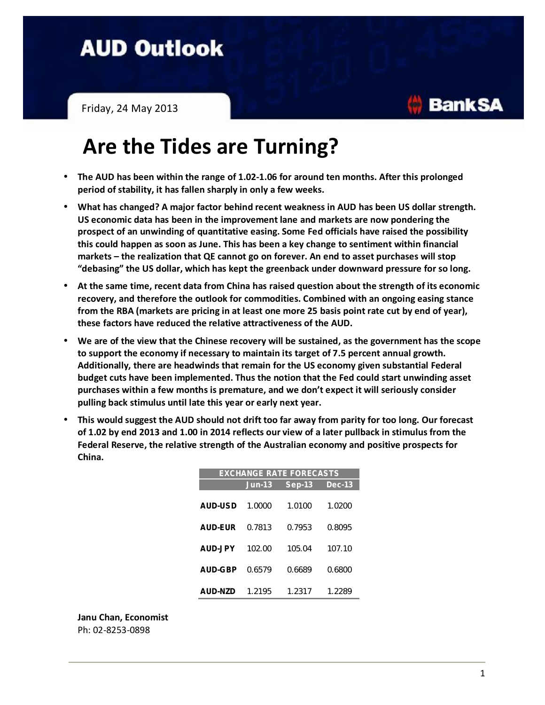## **AUD Outlook**

Friday, 24 May 2013

## **Are the Tides are Turning?**

- **The AUD has been within the range of 1.02-1.06 for around ten months. After this prolonged period of stability, it has fallen sharply in only a few weeks.**
- **What has changed? A major factor behind recent weakness in AUD has been US dollar strength. US economic data has been in the improvement lane and markets are now pondering the prospect of an unwinding of quantitative easing. Some Fed officials have raised the possibility this could happen as soon as June. This has been a key change to sentiment within financial markets – the realization that QE cannot go on forever. An end to asset purchases will stop "debasing" the US dollar, which has kept the greenback under downward pressure for so long.**
- **At the same time, recent data from China has raised question about the strength of its economic recovery, and therefore the outlook for commodities. Combined with an ongoing easing stance from the RBA (markets are pricing in at least one more 25 basis point rate cut by end of year), these factors have reduced the relative attractiveness of the AUD.**
- **We are of the view that the Chinese recovery will be sustained, as the government has the scope to support the economy if necessary to maintain its target of 7.5 percent annual growth. Additionally, there are headwinds that remain for the US economy given substantial Federal budget cuts have been implemented. Thus the notion that the Fed could start unwinding asset purchases within a few months is premature, and we don't expect it will seriously consider pulling back stimulus until late this year or early next year.**
- **This would suggest the AUD should not drift too far away from parity for too long. Our forecast of 1.02 by end 2013 and 1.00 in 2014 reflects our view of a later pullback in stimulus from the Federal Reserve, the relative strength of the Australian economy and positive prospects for China.**

| <b>EXCHANGE RATE FORECASTS</b> |          |          |          |  |
|--------------------------------|----------|----------|----------|--|
|                                | $Jun-13$ | $Sep-13$ | $Dec-13$ |  |
| AUD-USD                        | 1.0000   | 1.0100   | 1.0200   |  |
| AUD-FUR                        | 0.7813   | 0.7953   | 0.8095   |  |
| AUD-JPY                        | 102.00   | 105.04   | 107.10   |  |
| AUD-GBP                        | 0.6579   | 0.6689   | 0.6800   |  |
| AUD-N7D                        | 1.2195   | 1.2317   | 1.2289   |  |

**Janu Chan, Economist** Ph: 02-8253-0898

**Bank SA**